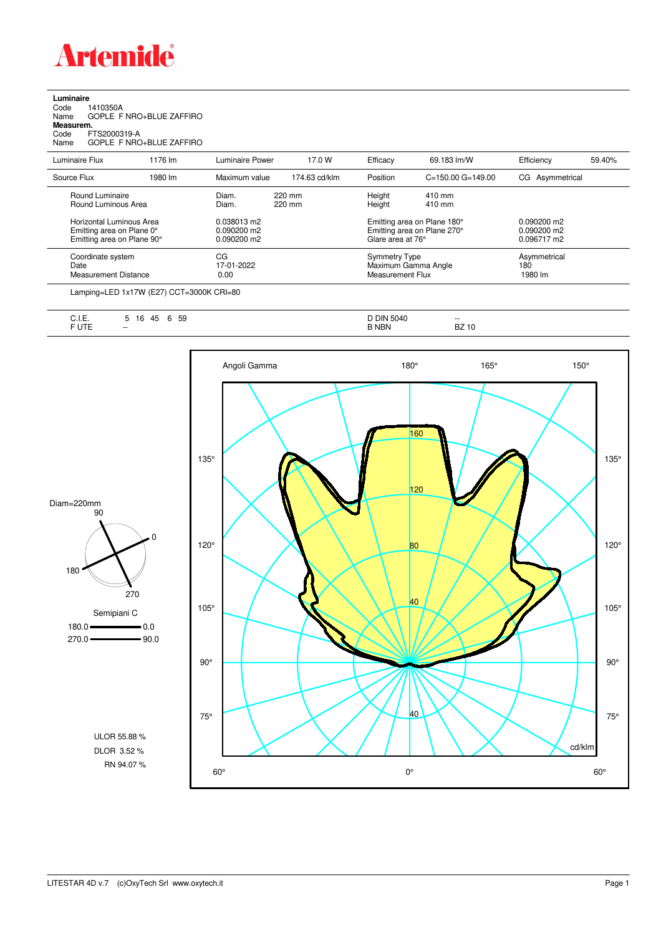

## **Luminaire**<br>Code 1<br>Name ( Code 1410350A Name GOPLE F NRO+BLUE ZAFFIRO **Measurem.** Code FTS2000319-A Name GOPLE F NRO+BLUE ZAFFIRO

| Luminaire Flux                                                                      | 1176 lm | Luminaire Power                               | 17.0 W           | Efficacy                                 | 69.183 lm/W                                                | Efficiency                                    | 59.40% |
|-------------------------------------------------------------------------------------|---------|-----------------------------------------------|------------------|------------------------------------------|------------------------------------------------------------|-----------------------------------------------|--------|
| Source Flux                                                                         | 1980 lm | Maximum value                                 | 174.63 cd/klm    | Position                                 | $C = 150.00$ $G = 149.00$                                  | CG Asymmetrical                               |        |
| Round Luminaire<br>Round Luminous Area                                              |         | Diam.<br>Diam.                                | 220 mm<br>220 mm | Height<br>Height                         | $410 \text{ mm}$<br>$410 \text{ mm}$                       |                                               |        |
| Horizontal Luminous Area<br>Emitting area on Plane 0°<br>Emitting area on Plane 90° |         | 0.038013 m2<br>$0.090200$ m2<br>$0.090200$ m2 |                  | Glare area at 76°                        | Emitting area on Plane 180°<br>Emitting area on Plane 270° | $0.090200$ m2<br>$0.090200$ m2<br>0.096717 m2 |        |
| Coordinate system<br>Date<br><b>Measurement Distance</b>                            |         | CG<br>17-01-2022<br>0.00                      |                  | <b>Symmetry Type</b><br>Measurement Flux | Maximum Gamma Angle                                        | Asymmetrical<br>180<br>1980 lm                |        |
|                                                                                     |         |                                               |                  |                                          |                                                            |                                               |        |

Lamping=LED 1x17W (E27) CCT=3000K CRI=80